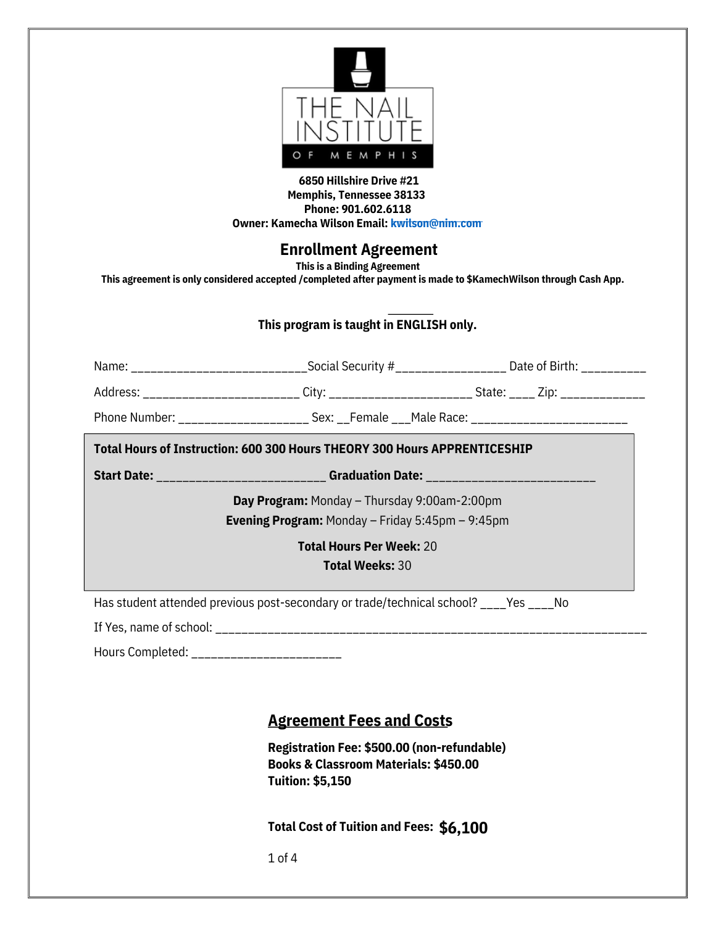

#### **6850 Hillshire Drive #21 Memphis, Tennessee 38133 Phone: 901.602.[6](mailto:kwilson@nim.com)118 Owner: Kamecha Wilson Email: [kwilson@nim.com](mailto:kwilson@nim.com)**

## **Enrollment Agreement**

**This is a Binding Agreement**

**This agreement is only considered accepted /completed after payment is made to \$KamechWilson through Cash App.**

#### **This program is taught in ENGLISH only.**

| Total Hours of Instruction: 600 300 Hours THEORY 300 Hours APPRENTICESHIP |                                |                                       |  |  |
|---------------------------------------------------------------------------|--------------------------------|---------------------------------------|--|--|
| Phone Number:                                                             | Sex: Female Male Race:         |                                       |  |  |
| Address: _______________________                                          | City: ________________________ | State: <u>____</u> Zip: _____________ |  |  |
| Name:                                                                     | Social Security #              | Date of Birth:                        |  |  |

**Start Date:** \_\_\_\_\_\_\_\_\_\_\_\_\_\_\_\_\_\_\_\_\_\_\_\_\_\_ **Graduation Date:** \_\_\_\_\_\_\_\_\_\_\_\_\_\_\_\_\_\_\_\_\_\_\_\_\_\_

**Day Program:** Monday – Thursday 9:00am-2:00pm **Evening Program:** Monday – Friday 5:45pm – 9:45pm

> **Total Hours Per Week:** 20 **Total Weeks:** 30

Has student attended previous post-secondary or trade/technical school? \_\_\_\_Yes \_\_\_\_No

If Yes, name of school: \_\_\_\_\_\_\_\_\_\_\_\_\_\_\_\_\_\_\_\_\_\_\_\_\_\_\_\_\_\_\_\_\_\_\_\_\_\_\_\_\_\_\_\_\_\_\_\_\_\_\_\_\_\_\_\_\_\_\_\_\_\_\_\_\_\_

Hours Completed: \_\_\_\_\_\_\_\_\_\_\_\_\_\_\_\_\_\_\_\_\_\_\_

#### **Agreement Fees and Costs**

**Registration Fee: \$500.00 (non-refundable) Books & Classroom Materials: \$450.00 Tuition: \$5,150**

**Total Cost of Tuition and Fees: \$6,100**

1 of 4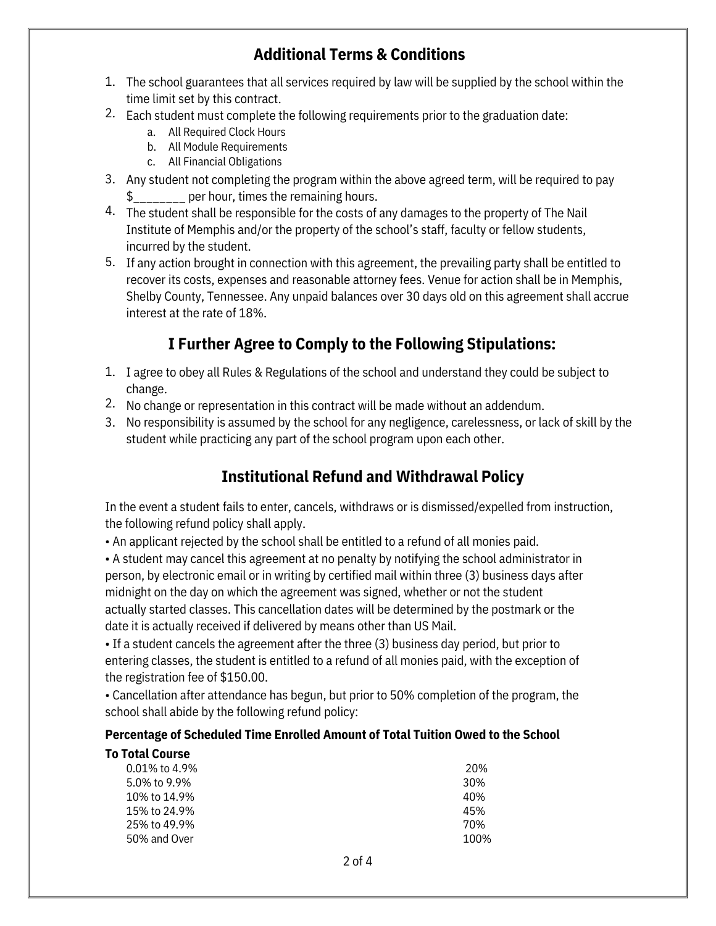## **Additional Terms & Conditions**

- 1. The school guarantees that all services required by law will be supplied by the school within the time limit set by this contract.
- 2. Each student must complete the following requirements prior to the graduation date:
	- a. All Required Clock Hours
	- b. All Module Requirements
	- c. All Financial Obligations
- 3. Any student not completing the program within the above agreed term, will be required to pay per hour, times the remaining hours.
- 4. The student shall be responsible for the costs of any damages to the property of The Nail Institute of Memphis and/or the property of the school's staff, faculty or fellow students, incurred by the student.
- 5. If any action brought in connection with this agreement, the prevailing party shall be entitled to recover its costs, expenses and reasonable attorney fees. Venue for action shall be in Memphis, Shelby County, Tennessee. Any unpaid balances over 30 days old on this agreement shall accrue interest at the rate of 18%.

# **I Further Agree to Comply to the Following Stipulations:**

- 1. I agree to obey all Rules & Regulations of the school and understand they could be subject to change.
- 2. No change or representation in this contract will be made without an addendum.
- 3. No responsibility is assumed by the school for any negligence, carelessness, or lack of skill by the student while practicing any part of the school program upon each other.

# **Institutional Refund and Withdrawal Policy**

In the event a student fails to enter, cancels, withdraws or is dismissed/expelled from instruction, the following refund policy shall apply.

• An applicant rejected by the school shall be entitled to a refund of all monies paid.

• A student may cancel this agreement at no penalty by notifying the school administrator in person, by electronic email or in writing by certified mail within three (3) business days after midnight on the day on which the agreement was signed, whether or not the student actually started classes. This cancellation dates will be determined by the postmark or the date it is actually received if delivered by means other than US Mail.

• If a student cancels the agreement after the three (3) business day period, but prior to entering classes, the student is entitled to a refund of all monies paid, with the exception of the registration fee of \$150.00.

• Cancellation after attendance has begun, but prior to 50% completion of the program, the school shall abide by the following refund policy:

#### **Percentage of Scheduled Time Enrolled Amount of Total Tuition Owed to the School**

| <b>To Total Course</b> |                 |
|------------------------|-----------------|
| $0.01\%$ to 4.9%       | 20%             |
| 5.0% to 9.9%           | 30 <sup>%</sup> |
| 10% to 14.9%           | 40%             |
| 15% to 24.9%           | 45%             |
| 25% to 49.9%           | 70%             |
| 50% and Over           | 100%            |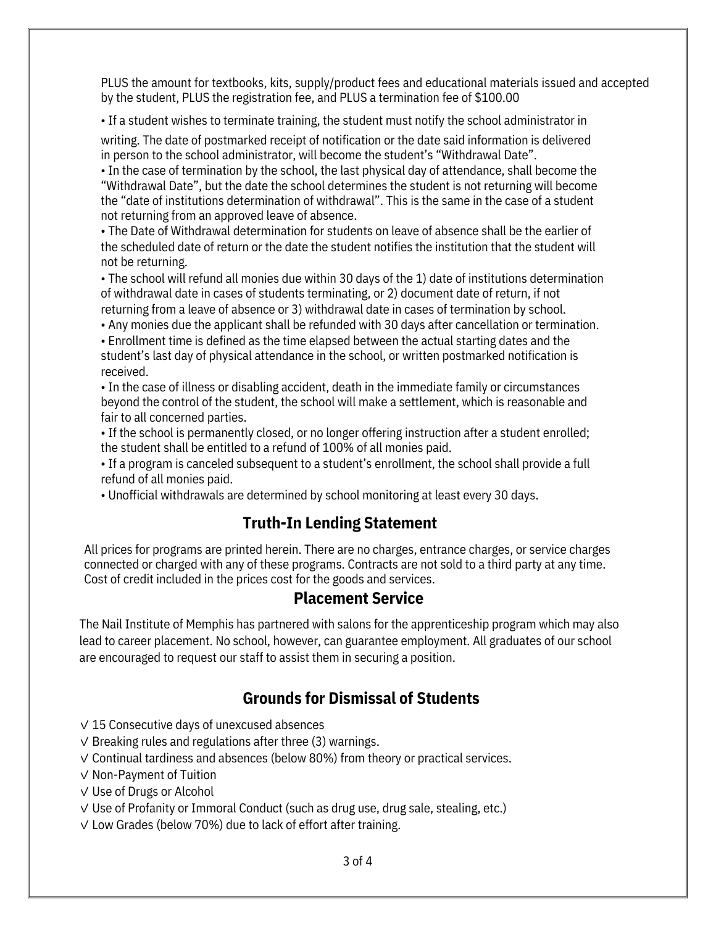PLUS the amount for textbooks, kits, supply/product fees and educational materials issued and accepted by the student, PLUS the registration fee, and PLUS a termination fee of \$100.00

• If a student wishes to terminate training, the student must notify the school administrator in

writing. The date of postmarked receipt of notification or the date said information is delivered in person to the school administrator, will become the student's "Withdrawal Date".

• In the case of termination by the school, the last physical day of attendance, shall become the "Withdrawal Date", but the date the school determines the student is not returning will become the "date of institutions determination of withdrawal". This is the same in the case of a student not returning from an approved leave of absence.

• The Date of Withdrawal determination for students on leave of absence shall be the earlier of the scheduled date of return or the date the student notifies the institution that the student will not be returning.

• The school will refund all monies due within 30 days of the 1) date of institutions determination of withdrawal date in cases of students terminating, or 2) document date of return, if not returning from a leave of absence or 3) withdrawal date in cases of termination by school.

• Any monies due the applicant shall be refunded with 30 days after cancellation or termination.

• Enrollment time is defined as the time elapsed between the actual starting dates and the student's last day of physical attendance in the school, or written postmarked notification is received.

• In the case of illness or disabling accident, death in the immediate family or circumstances beyond the control of the student, the school will make a settlement, which is reasonable and fair to all concerned parties.

• If the school is permanently closed, or no longer offering instruction after a student enrolled; the student shall be entitled to a refund of 100% of all monies paid.

• If a program is canceled subsequent to a student's enrollment, the school shall provide a full refund of all monies paid.

• Unofficial withdrawals are determined by school monitoring at least every 30 days.

## **Truth-In Lending Statement**

All prices for programs are printed herein. There are no charges, entrance charges, or service charges connected or charged with any of these programs. Contracts are not sold to a third party at any time. Cost of credit included in the prices cost for the goods and services.

### **Placement Service**

The Nail Institute of Memphis has partnered with salons for the apprenticeship program which may also lead to career placement. No school, however, can guarantee employment. All graduates of our school are encouraged to request our staff to assist them in securing a position.

## **Grounds for Dismissal of Students**

- ✓ 15 Consecutive days of unexcused absences
- ✓ Breaking rules and regulations after three (3) warnings.
- ✓ Continual tardiness and absences (below 80%) from theory or practical services.
- ✓ Non-Payment of Tuition
- ✓ Use of Drugs or Alcohol
- ✓ Use of Profanity or Immoral Conduct (such as drug use, drug sale, stealing, etc.)
- ✓ Low Grades (below 70%) due to lack of effort after training.